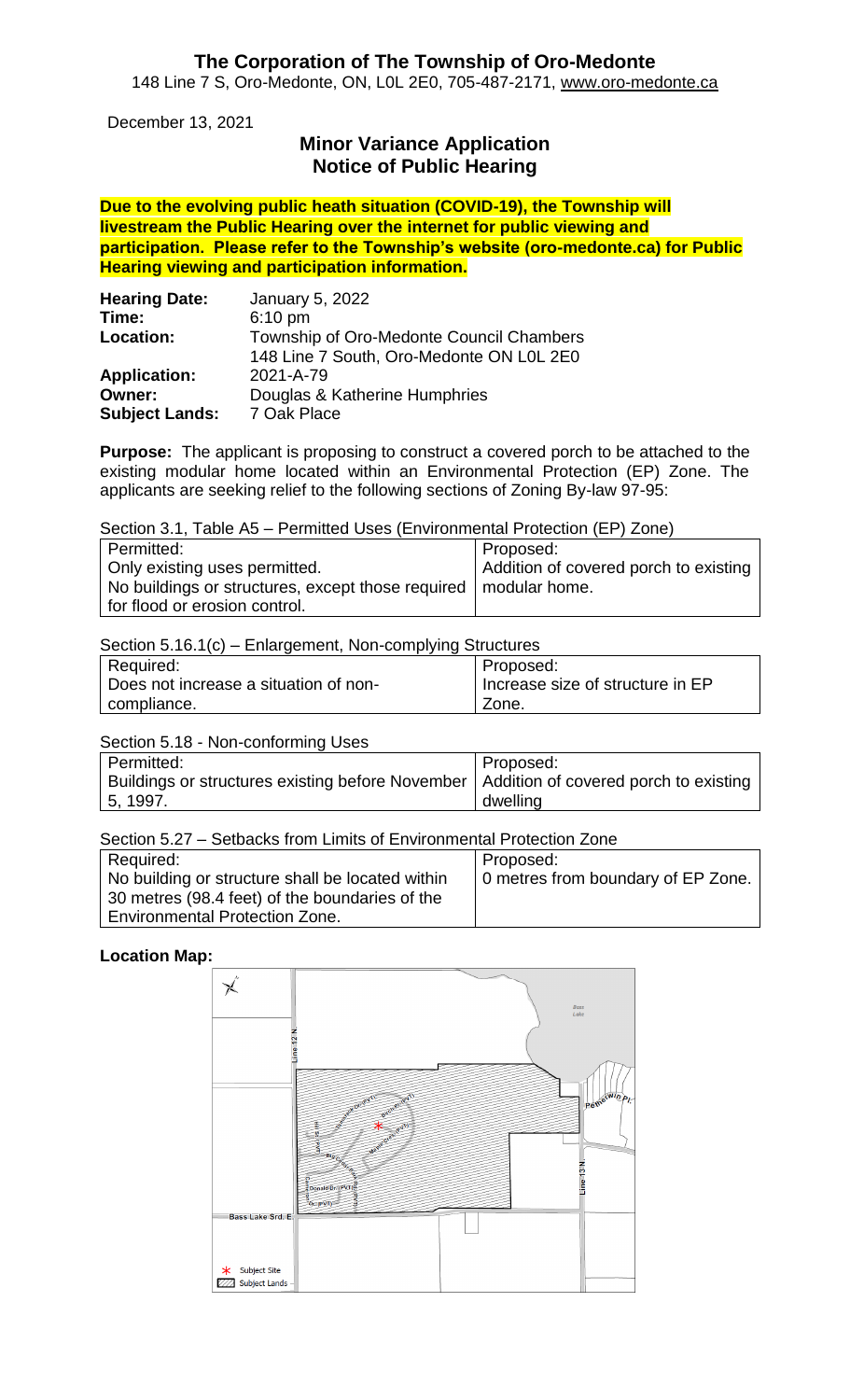## **The Corporation of The Township of Oro-Medonte** 148 Line 7 S, Oro-Medonte, ON, L0L 2E0, 705-487-2171, [www.oro-medonte.ca](http://www.oro-medonte.ca/)

December 13, 2021

# **Minor Variance Application Notice of Public Hearing**

**Due to the evolving public heath situation (COVID-19), the Township will livestream the Public Hearing over the internet for public viewing and participation. Please refer to the Township's website (oro-medonte.ca) for Public Hearing viewing and participation information.**

| <b>Hearing Date:</b>  | January 5, 2022                          |
|-----------------------|------------------------------------------|
| Time:                 | $6:10$ pm                                |
| Location:             | Township of Oro-Medonte Council Chambers |
|                       | 148 Line 7 South, Oro-Medonte ON L0L 2E0 |
| <b>Application:</b>   | 2021-A-79                                |
| Owner:                | Douglas & Katherine Humphries            |
| <b>Subject Lands:</b> | 7 Oak Place                              |

**Purpose:** The applicant is proposing to construct a covered porch to be attached to the existing modular home located within an Environmental Protection (EP) Zone. The applicants are seeking relief to the following sections of Zoning By-law 97-95:

Section 3.1, Table A5 – Permitted Uses (Environmental Protection (EP) Zone)

| Permitted:                                                        | Proposed:                             |
|-------------------------------------------------------------------|---------------------------------------|
| Only existing uses permitted.                                     | Addition of covered porch to existing |
| No buildings or structures, except those required   modular home. |                                       |
| for flood or erosion control.                                     |                                       |

|  | Section 5.16.1(c) - Enlargement, Non-complying Structures |
|--|-----------------------------------------------------------|

| Required:                             | Proposed:                        |
|---------------------------------------|----------------------------------|
| Does not increase a situation of non- | Increase size of structure in EP |
| compliance.                           | Zone.                            |

Section 5.18 - Non-conforming Uses

| Permitted:                                                                               | Proposed: |
|------------------------------------------------------------------------------------------|-----------|
| Buildings or structures existing before November   Addition of covered porch to existing |           |
| 5, 1997.                                                                                 | dwelling  |

Section 5.27 – Setbacks from Limits of Environmental Protection Zone

| Required:                                        | Proposed:                          |
|--------------------------------------------------|------------------------------------|
| No building or structure shall be located within | 0 metres from boundary of EP Zone. |
| 30 metres (98.4 feet) of the boundaries of the   |                                    |
| <b>Environmental Protection Zone.</b>            |                                    |

## **Location Map:**